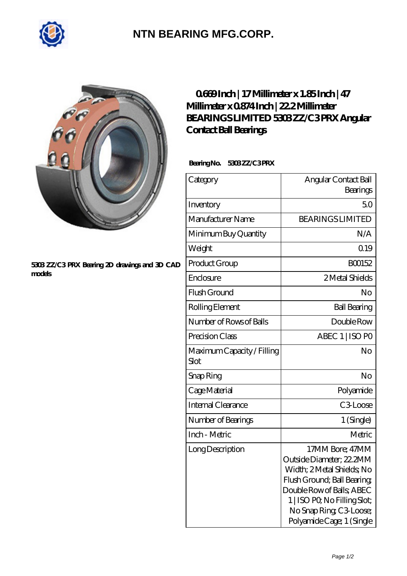

## **[NTN BEARING MFG.CORP.](https://m.2norma.de)**



## **[5303 ZZ/C3 PRX Bearing 2D drawings and 3D CAD](https://m.2norma.de/pic-249127.html) [models](https://m.2norma.de/pic-249127.html)**

## **[0.669 Inch | 17 Millimeter x 1.85 Inch | 47](https://m.2norma.de/at-249127-bearings-limited-5303-zz-c3-prx-angular-contact-ball-bearings.html) [Millimeter x 0.874 Inch | 22.2 Millimeter](https://m.2norma.de/at-249127-bearings-limited-5303-zz-c3-prx-angular-contact-ball-bearings.html) [BEARINGS LIMITED 5303 ZZ/C3 PRX Angular](https://m.2norma.de/at-249127-bearings-limited-5303-zz-c3-prx-angular-contact-ball-bearings.html) [Contact Ball Bearings](https://m.2norma.de/at-249127-bearings-limited-5303-zz-c3-prx-angular-contact-ball-bearings.html)**

Bearing No. 5303 ZZ/C3 PRX

| Category                           | Angular Contact Ball<br>Bearings                                                                                                                                                                                             |
|------------------------------------|------------------------------------------------------------------------------------------------------------------------------------------------------------------------------------------------------------------------------|
| Inventory                          | 50                                                                                                                                                                                                                           |
| Manufacturer Name                  | <b>BEARINGS LIMITED</b>                                                                                                                                                                                                      |
| Minimum Buy Quantity               | N/A                                                                                                                                                                                                                          |
| Weight                             | 0.19                                                                                                                                                                                                                         |
| Product Group                      | BO0152                                                                                                                                                                                                                       |
| Enclosure                          | 2 Metal Shields                                                                                                                                                                                                              |
| Flush Ground                       | No                                                                                                                                                                                                                           |
| Rolling Element                    | <b>Ball Bearing</b>                                                                                                                                                                                                          |
| Number of Rows of Balls            | Double Row                                                                                                                                                                                                                   |
| Precision Class                    | ABEC 1   ISO PO                                                                                                                                                                                                              |
| Maximum Capacity / Filling<br>Slot | No                                                                                                                                                                                                                           |
| Snap Ring                          | No                                                                                                                                                                                                                           |
| Cage Material                      | Polyamide                                                                                                                                                                                                                    |
| <b>Internal Clearance</b>          | C <sub>3</sub> Loose                                                                                                                                                                                                         |
| Number of Bearings                 | 1 (Single)                                                                                                                                                                                                                   |
| Inch - Metric                      | Metric                                                                                                                                                                                                                       |
| Long Description                   | 17MM Bore; 47MM<br>Outside Diameter; 22.2MM<br>Width; 2 Metal Shields; No<br>Flush Ground; Ball Bearing;<br>Double Row of Balls; ABEC<br>1   ISO PO, No Filling Slot;<br>No Snap Ring C3 Loose;<br>Polyamide Cage; 1 (Single |